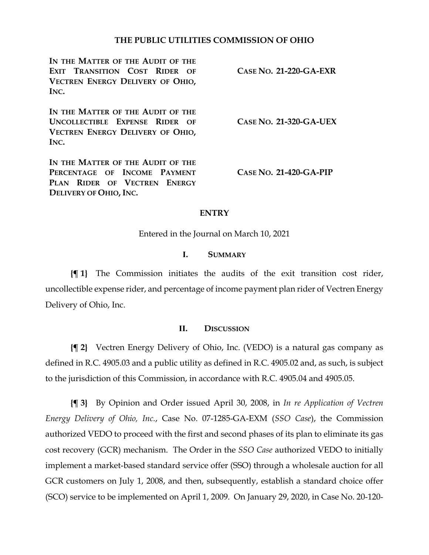## **THE PUBLIC UTILITIES COMMISSION OF OHIO**

**IN THE MATTER OF THE AUDIT OF THE EXIT TRANSITION COST RIDER OF VECTREN ENERGY DELIVERY OF OHIO, INC.**

**IN THE MATTER OF THE AUDIT OF THE UNCOLLECTIBLE EXPENSE RIDER OF VECTREN ENERGY DELIVERY OF OHIO, INC.**

**IN THE MATTER OF THE AUDIT OF THE PERCENTAGE OF INCOME PAYMENT PLAN RIDER OF VECTREN ENERGY DELIVERY OF OHIO, INC.**

**CASE NO. 21-320-GA-UEX**

**CASE NO. 21-220-GA-EXR**

**CASE NO. 21-420-GA-PIP**

## **ENTRY**

Entered in the Journal on March 10, 2021

## **I. SUMMARY**

**{¶ 1}** The Commission initiates the audits of the exit transition cost rider, uncollectible expense rider, and percentage of income payment plan rider of Vectren Energy Delivery of Ohio, Inc.

## **II. DISCUSSION**

**{¶ 2}** Vectren Energy Delivery of Ohio, Inc. (VEDO) is a natural gas company as defined in R.C. 4905.03 and a public utility as defined in R.C. 4905.02 and, as such, is subject to the jurisdiction of this Commission, in accordance with R.C. 4905.04 and 4905.05.

**{¶ 3}** By Opinion and Order issued April 30, 2008, in *In re Application of Vectren Energy Delivery of Ohio, Inc.*, Case No. 07-1285-GA-EXM (*SSO Case*), the Commission authorized VEDO to proceed with the first and second phases of its plan to eliminate its gas cost recovery (GCR) mechanism. The Order in the *SSO Case* authorized VEDO to initially implement a market-based standard service offer (SSO) through a wholesale auction for all GCR customers on July 1, 2008, and then, subsequently, establish a standard choice offer (SCO) service to be implemented on April 1, 2009. On January 29, 2020, in Case No. 20-120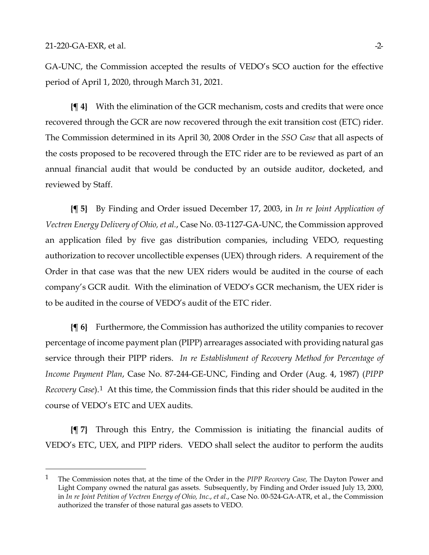GA-UNC, the Commission accepted the results of VEDO's SCO auction for the effective period of April 1, 2020, through March 31, 2021.

**{¶ 4}** With the elimination of the GCR mechanism, costs and credits that were once recovered through the GCR are now recovered through the exit transition cost (ETC) rider. The Commission determined in its April 30, 2008 Order in the *SSO Case* that all aspects of the costs proposed to be recovered through the ETC rider are to be reviewed as part of an annual financial audit that would be conducted by an outside auditor, docketed, and reviewed by Staff.

**{¶ 5}** By Finding and Order issued December 17, 2003, in *In re Joint Application of Vectren Energy Delivery of Ohio, et al.*, Case No. 03-1127-GA-UNC, the Commission approved an application filed by five gas distribution companies, including VEDO, requesting authorization to recover uncollectible expenses (UEX) through riders. A requirement of the Order in that case was that the new UEX riders would be audited in the course of each company's GCR audit. With the elimination of VEDO's GCR mechanism, the UEX rider is to be audited in the course of VEDO's audit of the ETC rider.

**{¶ 6}** Furthermore, the Commission has authorized the utility companies to recover percentage of income payment plan (PIPP) arrearages associated with providing natural gas service through their PIPP riders. *In re Establishment of Recovery Method for Percentage of Income Payment Plan*, Case No. 87-244-GE-UNC, Finding and Order (Aug. 4, 1987) (*PIPP Recovery Case*).[1](#page-1-0) At this time, the Commission finds that this rider should be audited in the course of VEDO's ETC and UEX audits.

**{¶ 7}** Through this Entry, the Commission is initiating the financial audits of VEDO's ETC, UEX, and PIPP riders. VEDO shall select the auditor to perform the audits

<span id="page-1-0"></span><sup>1</sup> The Commission notes that, at the time of the Order in the *PIPP Recovery Case,* The Dayton Power and Light Company owned the natural gas assets. Subsequently, by Finding and Order issued July 13, 2000, in *In re Joint Petition of Vectren Energy of Ohio, Inc.*, *et al*., Case No. 00-524-GA-ATR, et al., the Commission authorized the transfer of those natural gas assets to VEDO.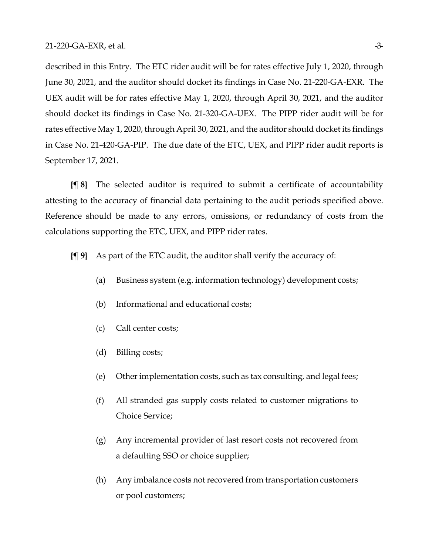described in this Entry. The ETC rider audit will be for rates effective July 1, 2020, through June 30, 2021, and the auditor should docket its findings in Case No. 21-220-GA-EXR. The UEX audit will be for rates effective May 1, 2020, through April 30, 2021, and the auditor should docket its findings in Case No. 21-320-GA-UEX. The PIPP rider audit will be for rates effective May 1, 2020, through April 30, 2021, and the auditor should docket its findings in Case No. 21-420-GA-PIP. The due date of the ETC, UEX, and PIPP rider audit reports is September 17, 2021.

**{¶ 8}** The selected auditor is required to submit a certificate of accountability attesting to the accuracy of financial data pertaining to the audit periods specified above. Reference should be made to any errors, omissions, or redundancy of costs from the calculations supporting the ETC, UEX, and PIPP rider rates.

**{¶ 9}** As part of the ETC audit, the auditor shall verify the accuracy of:

- (a) Business system (e.g. information technology) development costs;
- (b) Informational and educational costs;
- (c) Call center costs;
- (d) Billing costs;
- (e) Other implementation costs, such as tax consulting, and legal fees;
- (f) All stranded gas supply costs related to customer migrations to Choice Service;
- (g) Any incremental provider of last resort costs not recovered from a defaulting SSO or choice supplier;
- (h) Any imbalance costs not recovered from transportation customers or pool customers;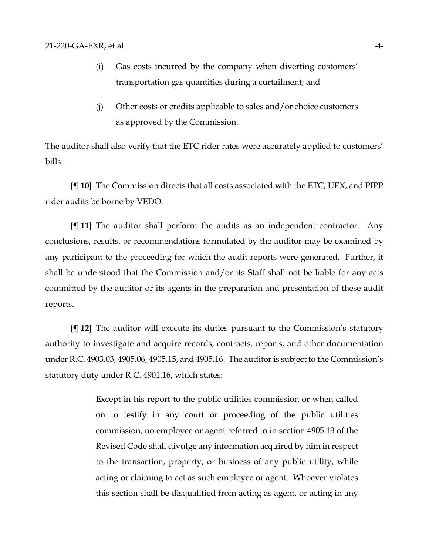- (i) Gas costs incurred by the company when diverting customers' transportation gas quantities during a curtailment; and
- (j) Other costs or credits applicable to sales and/or choice customers as approved by the Commission.

The auditor shall also verify that the ETC rider rates were accurately applied to customers' bills.

**{¶ 10}** The Commission directs that all costs associated with the ETC, UEX, and PIPP rider audits be borne by VEDO.

**{¶ 11}** The auditor shall perform the audits as an independent contractor. Any conclusions, results, or recommendations formulated by the auditor may be examined by any participant to the proceeding for which the audit reports were generated. Further, it shall be understood that the Commission and/or its Staff shall not be liable for any acts committed by the auditor or its agents in the preparation and presentation of these audit reports.

**{¶ 12}** The auditor will execute its duties pursuant to the Commission's statutory authority to investigate and acquire records, contracts, reports, and other documentation under R.C. 4903.03, 4905.06, 4905.15, and 4905.16. The auditor is subject to the Commission's statutory duty under R.C. 4901.16, which states:

> Except in his report to the public utilities commission or when called on to testify in any court or proceeding of the public utilities commission, no employee or agent referred to in section 4905.13 of the Revised Code shall divulge any information acquired by him in respect to the transaction, property, or business of any public utility, while acting or claiming to act as such employee or agent. Whoever violates this section shall be disqualified from acting as agent, or acting in any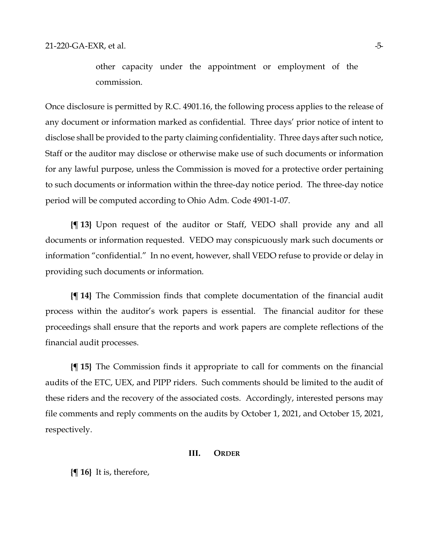other capacity under the appointment or employment of the commission.

Once disclosure is permitted by R.C. 4901.16, the following process applies to the release of any document or information marked as confidential. Three days' prior notice of intent to disclose shall be provided to the party claiming confidentiality. Three days after such notice, Staff or the auditor may disclose or otherwise make use of such documents or information for any lawful purpose, unless the Commission is moved for a protective order pertaining to such documents or information within the three-day notice period. The three-day notice period will be computed according to Ohio Adm. Code 4901-1-07.

**{¶ 13}** Upon request of the auditor or Staff, VEDO shall provide any and all documents or information requested. VEDO may conspicuously mark such documents or information "confidential." In no event, however, shall VEDO refuse to provide or delay in providing such documents or information.

**{¶ 14}** The Commission finds that complete documentation of the financial audit process within the auditor's work papers is essential. The financial auditor for these proceedings shall ensure that the reports and work papers are complete reflections of the financial audit processes.

**{¶ 15}** The Commission finds it appropriate to call for comments on the financial audits of the ETC, UEX, and PIPP riders. Such comments should be limited to the audit of these riders and the recovery of the associated costs. Accordingly, interested persons may file comments and reply comments on the audits by October 1, 2021, and October 15, 2021, respectively.

#### **III. ORDER**

**{¶ 16}** It is, therefore,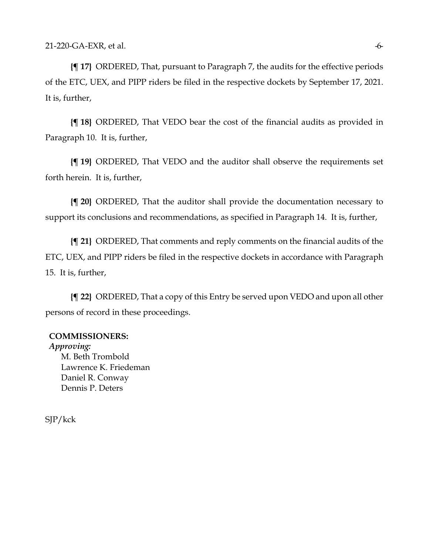**{¶ 17}** ORDERED, That, pursuant to Paragraph 7, the audits for the effective periods of the ETC, UEX, and PIPP riders be filed in the respective dockets by September 17, 2021. It is, further,

**{¶ 18}** ORDERED, That VEDO bear the cost of the financial audits as provided in Paragraph 10. It is, further,

**{¶ 19}** ORDERED, That VEDO and the auditor shall observe the requirements set forth herein. It is, further,

**{¶ 20}** ORDERED, That the auditor shall provide the documentation necessary to support its conclusions and recommendations, as specified in Paragraph 14. It is, further,

**{¶ 21}** ORDERED, That comments and reply comments on the financial audits of the ETC, UEX, and PIPP riders be filed in the respective dockets in accordance with Paragraph 15. It is, further,

**{¶ 22}** ORDERED, That a copy of this Entry be served upon VEDO and upon all other persons of record in these proceedings.

## **COMMISSIONERS:**

*Approving:*  M. Beth Trombold Lawrence K. Friedeman Daniel R. Conway Dennis P. Deters

SJP/kck